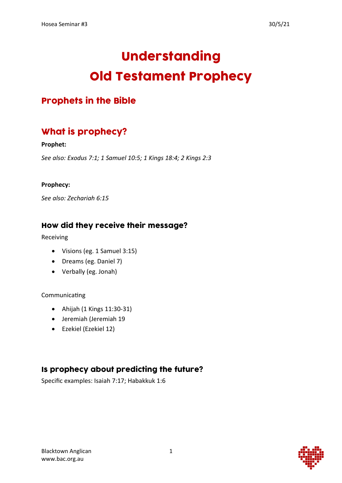# Understanding Old Testament Prophecy

#### Prophets in the Bible

### What is prophecy?

#### **Prophet:**

*See also: Exodus 7:1; 1 Samuel 10:5; 1 Kings 18:4; 2 Kings 2:3*

#### **Prophecy:**

*See also: Zechariah 6:15*

#### How did they receive their message?

Receiving

- Visions (eg. 1 Samuel 3:15)
- Dreams (eg. Daniel 7)
- Verbally (eg. Jonah)

#### Communicating

- Ahijah (1 Kings 11:30-31)
- Jeremiah (Jeremiah 19
- Ezekiel (Ezekiel 12)

#### Is prophecy about predicting the future?

Specific examples: Isaiah 7:17; Habakkuk 1:6

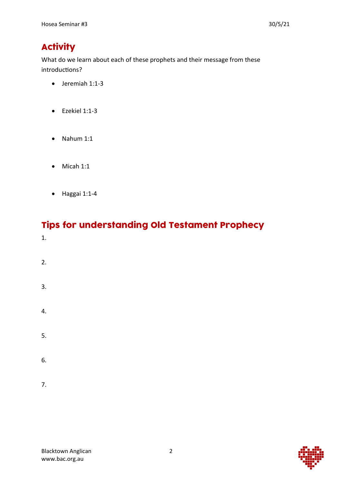## **Activity**

What do we learn about each of these prophets and their message from these introductions?

- Jeremiah 1:1-3
- Ezekiel 1:1-3
- Nahum 1:1
- Micah 1:1
- Haggai 1:1-4

#### Tips for understanding Old Testament Prophecy 1.

- 2.
- 3.
- 4.
- 5.
- 6.
- 7.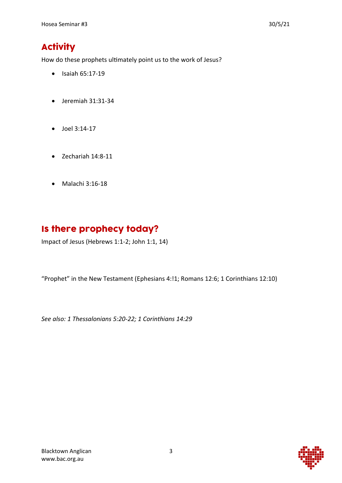### **Activity**

How do these prophets ultimately point us to the work of Jesus?

- Isaiah 65:17-19
- Jeremiah 31:31-34
- Joel 3:14-17
- Zechariah 14:8-11
- Malachi 3:16-18

### Is there prophecy today?

Impact of Jesus (Hebrews 1:1-2; John 1:1, 14)

"Prophet" in the New Testament (Ephesians 4:!1; Romans 12:6; 1 Corinthians 12:10)

*See also: 1 Thessalonians 5:20-22; 1 Corinthians 14:29*